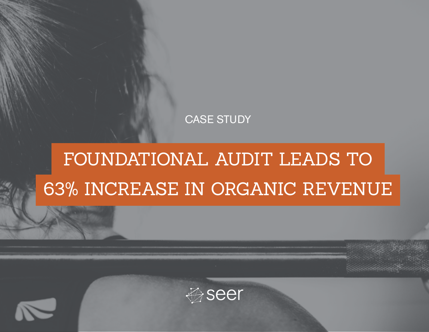#### CASE STUDY

## FOUNDATIONAL AUDIT LEADS TO 63% INCREASE IN ORGANIC REVENUE



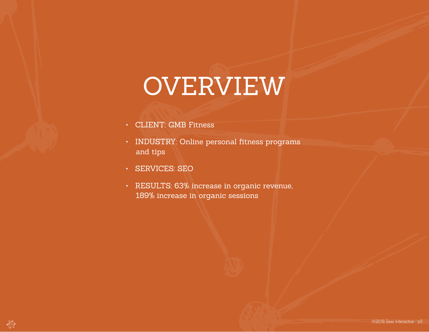# OVERVIEW

- CLIENT: GMB Fitness
- INDUSTRY: Online personal fitness programs and tips
- SERVICES: SEO
- RESULTS: 63% increase in organic revenue, 189% increase in organic sessions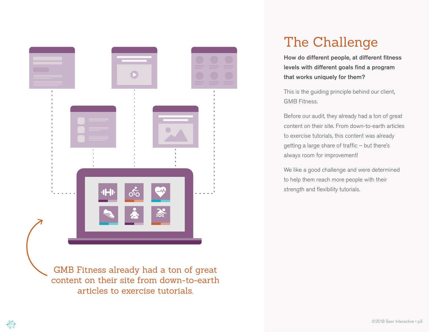

#### The Challenge

How do different people, at different fitness levels with different goals find a program that works uniquely for them?

This is the guiding principle behind our client, GMB Fitness.

Before our audit, they already had a ton of great content on their site. From down-to-earth articles to exercise tutorials, this content was already getting a large share of traffic – but there's always room for improvement!

We like a good challenge and were determined to help them reach more people with their strength and flexibility tutorials.

content on their site from down-to-earth articles to exercise tutorials.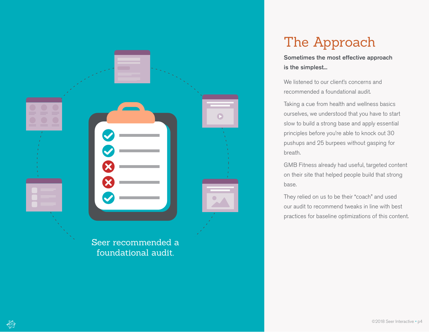

## The Approach

Sometimes the most effective approach is the simplest...

We listened to our client's concerns and recommended a foundational audit.

Taking a cue from health and wellness basics ourselves, we understood that you have to start slow to build a strong base and apply essential principles before you're able to knock out 30 pushups and 25 burpees without gasping for breath.

GMB Fitness already had useful, targeted content on their site that helped people build that strong base.

They relied on us to be their "coach" and used our audit to recommend tweaks in line with best practices for baseline optimizations of this content.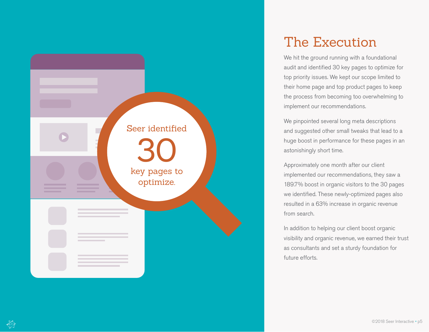

#### The Execution

We hit the ground running with a foundational audit and identified 30 key pages to optimize for top priority issues. We kept our scope limited to their home page and top product pages to keep the process from becoming too overwhelming to implement our recommendations.

We pinpointed several long meta descriptions and suggested other small tweaks that lead to a huge boost in performance for these pages in an astonishingly short time.

Approximately one month after our client implemented our recommendations, they saw a 189.7% boost in organic visitors to the 30 pages we identified. These newly-optimized pages also resulted in a 63% increase in organic revenue from search.

In addition to helping our client boost organic visibility and organic revenue, we earned their trust as consultants and set a sturdy foundation for future efforts.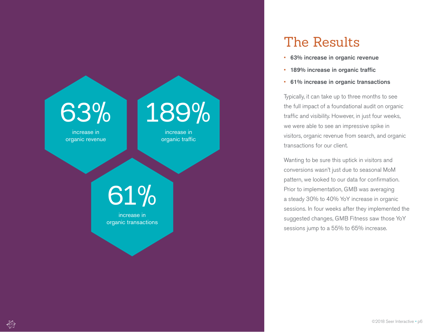

#### The Results

- 63% increase in organic revenue
- 189% increase in organic traffic
- 61% increase in organic transactions

Typically, it can take up to three months to see the full impact of a foundational audit on organic traffic and visibility. However, in just four weeks, we were able to see an impressive spike in visitors, organic revenue from search, and organic transactions for our client.

Wanting to be sure this uptick in visitors and conversions wasn't just due to seasonal MoM pattern, we looked to our data for confirmation. Prior to implementation, GMB was averaging a steady 30% to 40% YoY increase in organic sessions. In four weeks after they implemented the suggested changes, GMB Fitness saw those YoY sessions jump to a 55% to 65% increase.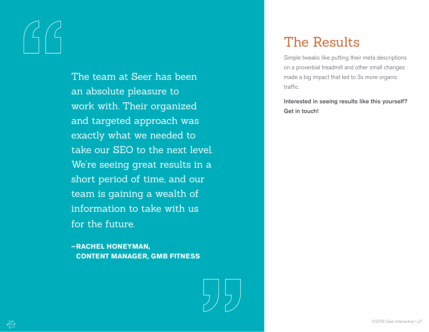The team at Seer has been an absolute pleasure to work with. Their organized and targeted approach was exactly what we needed to take our SEO to the next level. We're seeing great results in a short period of time, and our team is gaining a wealth of information to take with us for the future.

**–RACHEL HONEYMAN, CONTENT MANAGER, GMB FITNESS**



### The Results

Simple tweaks like putting their meta descriptions on a proverbial treadmill and other small changes made a big impact that led to 3x more organic traffic.

Interested in seeing results like this yourself? Get in touch!